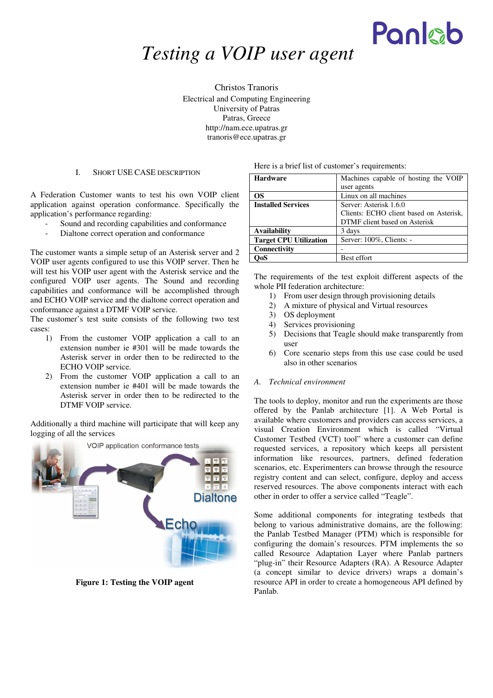# *Testing a VOIP user agent*

Christos Tranoris Electrical and Computing Engineering University of Patras Patras, Greece http://nam.ece.upatras.gr tranoris@ece.upatras.gr

### I. SHORT USE CASE DESCRIPTION

A Federation Customer wants to test his own VOIP client application against operation conformance. Specifically the application's performance regarding:

- Sound and recording capabilities and conformance
- Dialtone correct operation and conformance

The customer wants a simple setup of an Asterisk server and 2 VOIP user agents configured to use this VOIP server. Then he will test his VOIP user agent with the Asterisk service and the configured VOIP user agents. The Sound and recording capabilities and conformance will be accomplished through and ECHO VOIP service and the dialtone correct operation and conformance against a DTMF VOIP service.

The customer's test suite consists of the following two test cases:

- 1) From the customer VOIP application a call to an extension number ie #301 will be made towards the Asterisk server in order then to be redirected to the ECHO VOIP service.
- 2) From the customer VOIP application a call to an extension number ie #401 will be made towards the Asterisk server in order then to be redirected to the DTMF VOIP service.

Additionally a third machine will participate that will keep any logging of all the services



**Figure 1: Testing the VOIP agent** 

Here is a brief list of customer's requirements:

| <b>Hardware</b>               | Machines capable of hosting the VOIP    |
|-------------------------------|-----------------------------------------|
|                               | user agents                             |
| ОS                            | Linux on all machines                   |
| <b>Installed Services</b>     | Server: Asterisk 1.6.0                  |
|                               | Clients: ECHO client based on Asterisk, |
|                               | DTMF client based on Asterisk           |
| <b>Availability</b>           | 3 days                                  |
| <b>Target CPU Utilization</b> | Server: 100%, Clients: -                |
| Connectivity                  |                                         |
| )oS                           | <b>Best effort</b>                      |

Pankto

The requirements of the test exploit different aspects of the whole PII federation architecture:

- 1) From user design through provisioning details
- 2) A mixture of physical and Virtual resources
- 3) OS deployment
- 4) Services provisioning
- 5) Decisions that Teagle should make transparently from user
- 6) Core scenario steps from this use case could be used also in other scenarios

## *A. Technical environment*

The tools to deploy, monitor and run the experiments are those offered by the Panlab architecture [1]. A Web Portal is available where customers and providers can access services, a visual Creation Environment which is called "Virtual Customer Testbed (VCT) tool" where a customer can define requested services, a repository which keeps all persistent information like resources, partners, defined federation scenarios, etc. Experimenters can browse through the resource registry content and can select, configure, deploy and access reserved resources. The above components interact with each other in order to offer a service called "Teagle".

Some additional components for integrating testbeds that belong to various administrative domains, are the following: the Panlab Testbed Manager (PTM) which is responsible for configuring the domain's resources. PTM implements the so called Resource Adaptation Layer where Panlab partners "plug-in" their Resource Adapters (RA). A Resource Adapter (a concept similar to device drivers) wraps a domain's resource API in order to create a homogeneous API defined by Panlab.